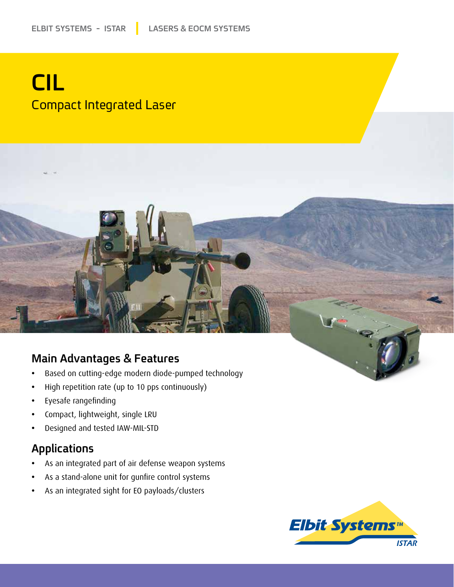# CIL **Compact Integrated Laser**

### Main Advantages & Features

- \* Based on cutting-edge modern diode-pumped technology
- High repetition rate (up to 10 pps continuously)
- **•** Eyesafe rangefinding
- **•** Compact, lightweight, single LRU
- Designed and tested IAW-MIL-STD

#### Applications

- \* As an integrated part of air defense weapon systems
- As a stand-alone unit for qunfire control systems
- As an integrated sight for EO payloads/clusters